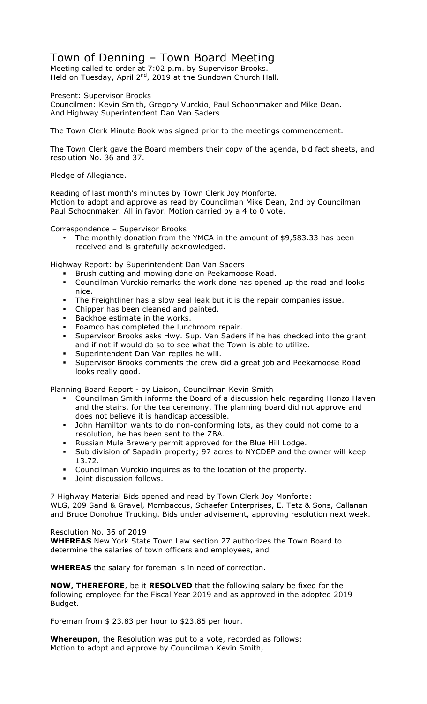## Town of Denning – Town Board Meeting

Meeting called to order at 7:02 p.m. by Supervisor Brooks. Held on Tuesday, April 2<sup>nd</sup>, 2019 at the Sundown Church Hall.

Present: Supervisor Brooks

Councilmen: Kevin Smith, Gregory Vurckio, Paul Schoonmaker and Mike Dean. And Highway Superintendent Dan Van Saders

The Town Clerk Minute Book was signed prior to the meetings commencement.

The Town Clerk gave the Board members their copy of the agenda, bid fact sheets, and resolution No. 36 and 37.

Pledge of Allegiance.

Reading of last month's minutes by Town Clerk Joy Monforte. Motion to adopt and approve as read by Councilman Mike Dean, 2nd by Councilman Paul Schoonmaker. All in favor. Motion carried by a 4 to 0 vote.

Correspondence – Supervisor Brooks

• The monthly donation from the YMCA in the amount of \$9,583.33 has been received and is gratefully acknowledged.

Highway Report: by Superintendent Dan Van Saders

- **EXECT Brush cutting and mowing done on Peekamoose Road.**
- ! Councilman Vurckio remarks the work done has opened up the road and looks nice.
- ! The Freightliner has a slow seal leak but it is the repair companies issue.
- **EXED** Chipper has been cleaned and painted.
- **Backhoe estimate in the works.**
- ! Foamco has completed the lunchroom repair.
- ! Supervisor Brooks asks Hwy. Sup. Van Saders if he has checked into the grant and if not if would do so to see what the Town is able to utilize.
- ! Superintendent Dan Van replies he will.
- ! Supervisor Brooks comments the crew did a great job and Peekamoose Road looks really good.

Planning Board Report - by Liaison, Councilman Kevin Smith

- ! Councilman Smith informs the Board of a discussion held regarding Honzo Haven and the stairs, for the tea ceremony. The planning board did not approve and does not believe it is handicap accessible.
- ! John Hamilton wants to do non-conforming lots, as they could not come to a resolution, he has been sent to the ZBA.
- ! Russian Mule Brewery permit approved for the Blue Hill Lodge.
- ! Sub division of Sapadin property; 97 acres to NYCDEP and the owner will keep 13.72.
- ! Councilman Vurckio inquires as to the location of the property.
- **Joint discussion follows.**

7 Highway Material Bids opened and read by Town Clerk Joy Monforte: WLG, 209 Sand & Gravel, Mombaccus, Schaefer Enterprises, E. Tetz & Sons, Callanan and Bruce Donohue Trucking. Bids under advisement, approving resolution next week.

Resolution No. 36 of 2019

**WHEREAS** New York State Town Law section 27 authorizes the Town Board to determine the salaries of town officers and employees, and

**WHEREAS** the salary for foreman is in need of correction.

**NOW, THEREFORE**, be it **RESOLVED** that the following salary be fixed for the following employee for the Fiscal Year 2019 and as approved in the adopted 2019 Budget.

Foreman from \$ 23.83 per hour to \$23.85 per hour.

**Whereupon**, the Resolution was put to a vote, recorded as follows: Motion to adopt and approve by Councilman Kevin Smith,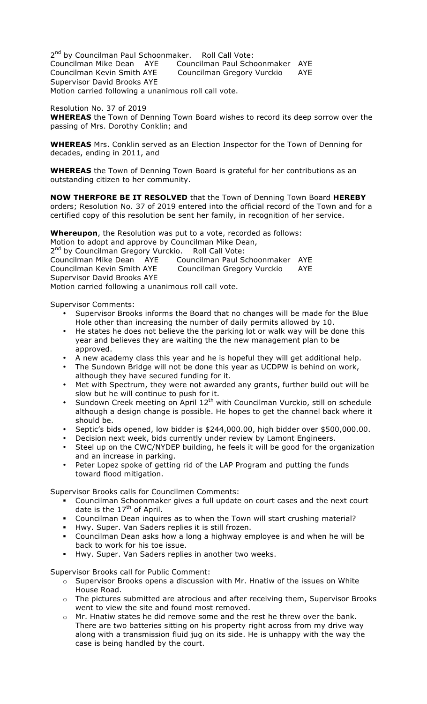2<sup>nd</sup> by Councilman Paul Schoonmaker. Roll Call Vote: Councilman Mike Dean AYE Councilman Paul Schoonmaker AYE Councilman Kevin Smith AYE Councilman Gregory Vurckio AYE Supervisor David Brooks AYE Motion carried following a unanimous roll call vote.

Resolution No. 37 of 2019

**WHEREAS** the Town of Denning Town Board wishes to record its deep sorrow over the passing of Mrs. Dorothy Conklin; and

**WHEREAS** Mrs. Conklin served as an Election Inspector for the Town of Denning for decades, ending in 2011, and

**WHEREAS** the Town of Denning Town Board is grateful for her contributions as an outstanding citizen to her community.

**NOW THERFORE BE IT RESOLVED** that the Town of Denning Town Board **HEREBY**  orders; Resolution No. 37 of 2019 entered into the official record of the Town and for a certified copy of this resolution be sent her family, in recognition of her service.

**Whereupon**, the Resolution was put to a vote, recorded as follows:

Motion to adopt and approve by Councilman Mike Dean,

2<sup>nd</sup> by Councilman Gregory Vurckio. Roll Call Vote: Councilman Mike Dean AYE Councilman Paul Schoonmaker AYE Councilman Kevin Smith AYE Councilman Gregory Vurckio AYE Supervisor David Brooks AYE Motion carried following a unanimous roll call vote.

Supervisor Comments:

- Supervisor Brooks informs the Board that no changes will be made for the Blue Hole other than increasing the number of daily permits allowed by 10.
- He states he does not believe the the parking lot or walk way will be done this year and believes they are waiting the the new management plan to be approved.
- A new academy class this year and he is hopeful they will get additional help.
- The Sundown Bridge will not be done this year as UCDPW is behind on work, although they have secured funding for it.
- Met with Spectrum, they were not awarded any grants, further build out will be slow but he will continue to push for it.
- Sundown Creek meeting on April 12<sup>th</sup> with Councilman Vurckio, still on schedule although a design change is possible. He hopes to get the channel back where it should be.
- Septic's bids opened, low bidder is \$244,000.00, high bidder over \$500,000.00.
- Decision next week, bids currently under review by Lamont Engineers.
- Steel up on the CWC/NYDEP building, he feels it will be good for the organization and an increase in parking.
- Peter Lopez spoke of getting rid of the LAP Program and putting the funds toward flood mitigation.

Supervisor Brooks calls for Councilmen Comments:

- ! Councilman Schoonmaker gives a full update on court cases and the next court date is the  $17<sup>th</sup>$  of April.
- ! Councilman Dean inquires as to when the Town will start crushing material?
- ! Hwy. Super. Van Saders replies it is still frozen.
- ! Councilman Dean asks how a long a highway employee is and when he will be back to work for his toe issue.
- Hwy. Super. Van Saders replies in another two weeks.

Supervisor Brooks call for Public Comment:

- o Supervisor Brooks opens a discussion with Mr. Hnatiw of the issues on White House Road.
- o The pictures submitted are atrocious and after receiving them, Supervisor Brooks went to view the site and found most removed.
- o Mr. Hnatiw states he did remove some and the rest he threw over the bank. There are two batteries sitting on his property right across from my drive way along with a transmission fluid jug on its side. He is unhappy with the way the case is being handled by the court.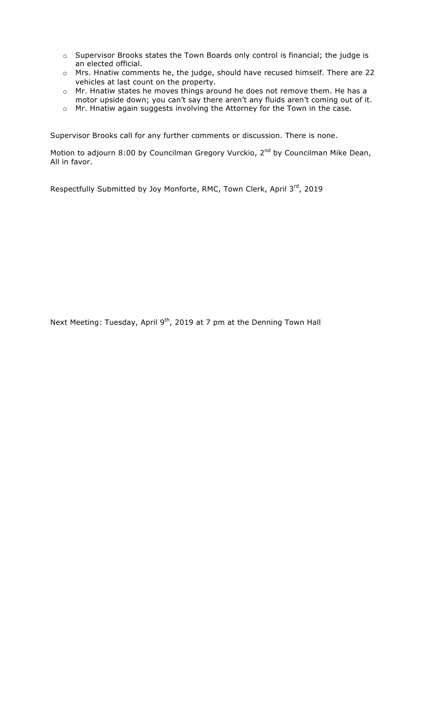- o Supervisor Brooks states the Town Boards only control is financial; the judge is an elected official.
- o Mrs. Hnatiw comments he, the judge, should have recused himself. There are 22 vehicles at last count on the property.
- o Mr. Hnatiw states he moves things around he does not remove them. He has a motor upside down; you can't say there aren't any fluids aren't coming out of it.
- o Mr. Hnatiw again suggests involving the Attorney for the Town in the case.

Supervisor Brooks call for any further comments or discussion. There is none.

Motion to adjourn 8:00 by Councilman Gregory Vurckio, 2<sup>nd</sup> by Councilman Mike Dean, All in favor.

Respectfully Submitted by Joy Monforte, RMC, Town Clerk, April 3rd, 2019

Next Meeting: Tuesday, April 9<sup>th</sup>, 2019 at 7 pm at the Denning Town Hall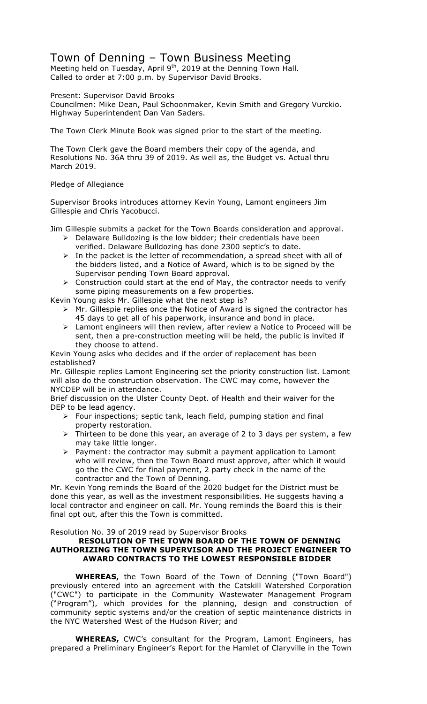## Town of Denning – Town Business Meeting

Meeting held on Tuesday, April 9<sup>th</sup>, 2019 at the Denning Town Hall. Called to order at 7:00 p.m. by Supervisor David Brooks.

Present: Supervisor David Brooks

Councilmen: Mike Dean, Paul Schoonmaker, Kevin Smith and Gregory Vurckio. Highway Superintendent Dan Van Saders.

The Town Clerk Minute Book was signed prior to the start of the meeting.

The Town Clerk gave the Board members their copy of the agenda, and Resolutions No. 36A thru 39 of 2019. As well as, the Budget vs. Actual thru March 2019.

## Pledge of Allegiance

Supervisor Brooks introduces attorney Kevin Young, Lamont engineers Jim Gillespie and Chris Yacobucci.

Jim Gillespie submits a packet for the Town Boards consideration and approval.

- $\triangleright$  Delaware Bulldozing is the low bidder; their credentials have been verified. Delaware Bulldozing has done 2300 septic's to date.
- $\triangleright$  In the packet is the letter of recommendation, a spread sheet with all of the bidders listed, and a Notice of Award, which is to be signed by the Supervisor pending Town Board approval.
- $\triangleright$  Construction could start at the end of May, the contractor needs to verify some piping measurements on a few properties.

Kevin Young asks Mr. Gillespie what the next step is?

- $\triangleright$  Mr. Gillespie replies once the Notice of Award is signed the contractor has 45 days to get all of his paperwork, insurance and bond in place.
- $\triangleright$  Lamont engineers will then review, after review a Notice to Proceed will be sent, then a pre-construction meeting will be held, the public is invited if they choose to attend.

Kevin Young asks who decides and if the order of replacement has been established?

Mr. Gillespie replies Lamont Engineering set the priority construction list. Lamont will also do the construction observation. The CWC may come, however the NYCDEP will be in attendance.

Brief discussion on the Ulster County Dept. of Health and their waiver for the DEP to be lead agency.

- $\triangleright$  Four inspections; septic tank, leach field, pumping station and final property restoration.
- $\triangleright$  Thirteen to be done this year, an average of 2 to 3 days per system, a few may take little longer.
- $\triangleright$  Payment: the contractor may submit a payment application to Lamont who will review, then the Town Board must approve, after which it would go the the CWC for final payment, 2 party check in the name of the contractor and the Town of Denning.

Mr. Kevin Yong reminds the Board of the 2020 budget for the District must be done this year, as well as the investment responsibilities. He suggests having a local contractor and engineer on call. Mr. Young reminds the Board this is their final opt out, after this the Town is committed.

Resolution No. 39 of 2019 read by Supervisor Brooks

## **RESOLUTION OF THE TOWN BOARD OF THE TOWN OF DENNING AUTHORIZING THE TOWN SUPERVISOR AND THE PROJECT ENGINEER TO AWARD CONTRACTS TO THE LOWEST RESPONSIBLE BIDDER**

**WHEREAS,** the Town Board of the Town of Denning ("Town Board") previously entered into an agreement with the Catskill Watershed Corporation ("CWC") to participate in the Community Wastewater Management Program ("Program"), which provides for the planning, design and construction of community septic systems and/or the creation of septic maintenance districts in the NYC Watershed West of the Hudson River; and

**WHEREAS,** CWC's consultant for the Program, Lamont Engineers, has prepared a Preliminary Engineer's Report for the Hamlet of Claryville in the Town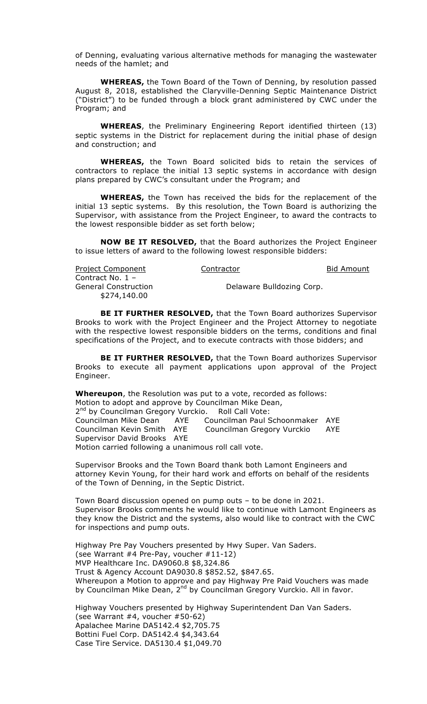of Denning, evaluating various alternative methods for managing the wastewater needs of the hamlet; and

**WHEREAS,** the Town Board of the Town of Denning, by resolution passed August 8, 2018, established the Claryville-Denning Septic Maintenance District ("District") to be funded through a block grant administered by CWC under the Program; and

**WHEREAS**, the Preliminary Engineering Report identified thirteen (13) septic systems in the District for replacement during the initial phase of design and construction; and

**WHEREAS,** the Town Board solicited bids to retain the services of contractors to replace the initial 13 septic systems in accordance with design plans prepared by CWC's consultant under the Program; and

**WHEREAS,** the Town has received the bids for the replacement of the initial 13 septic systems. By this resolution, the Town Board is authorizing the Supervisor, with assistance from the Project Engineer, to award the contracts to the lowest responsible bidder as set forth below;

**NOW BE IT RESOLVED,** that the Board authorizes the Project Engineer to issue letters of award to the following lowest responsible bidders:

| <b>Project Component</b> | Contractor                | <b>Bid Amount</b> |
|--------------------------|---------------------------|-------------------|
| Contract No. $1 -$       |                           |                   |
| General Construction     | Delaware Bulldozing Corp. |                   |
| \$274,140.00             |                           |                   |

**BE IT FURTHER RESOLVED,** that the Town Board authorizes Supervisor Brooks to work with the Project Engineer and the Project Attorney to negotiate with the respective lowest responsible bidders on the terms, conditions and final specifications of the Project, and to execute contracts with those bidders; and

**BE IT FURTHER RESOLVED, that the Town Board authorizes Supervisor** Brooks to execute all payment applications upon approval of the Project Engineer.

**Whereupon**, the Resolution was put to a vote, recorded as follows: Motion to adopt and approve by Councilman Mike Dean, 2<sup>nd</sup> by Councilman Gregory Vurckio. Roll Call Vote:

Councilman Mike Dean AYE Councilman Paul Schoonmaker AYE Councilman Kevin Smith AYE Councilman Gregory Vurckio AYE Supervisor David Brooks AYE Motion carried following a unanimous roll call vote.

Supervisor Brooks and the Town Board thank both Lamont Engineers and attorney Kevin Young, for their hard work and efforts on behalf of the residents of the Town of Denning, in the Septic District.

Town Board discussion opened on pump outs – to be done in 2021. Supervisor Brooks comments he would like to continue with Lamont Engineers as they know the District and the systems, also would like to contract with the CWC for inspections and pump outs.

Highway Pre Pay Vouchers presented by Hwy Super. Van Saders. (see Warrant #4 Pre-Pay, voucher #11-12) MVP Healthcare Inc. DA9060.8 \$8,324.86 Trust & Agency Account DA9030.8 \$852.52, \$847.65. Whereupon a Motion to approve and pay Highway Pre Paid Vouchers was made by Councilman Mike Dean, 2<sup>nd</sup> by Councilman Gregory Vurckio. All in favor.

Highway Vouchers presented by Highway Superintendent Dan Van Saders. (see Warrant #4, voucher #50-62) Apalachee Marine DA5142.4 \$2,705.75 Bottini Fuel Corp. DA5142.4 \$4,343.64 Case Tire Service. DA5130.4 \$1,049.70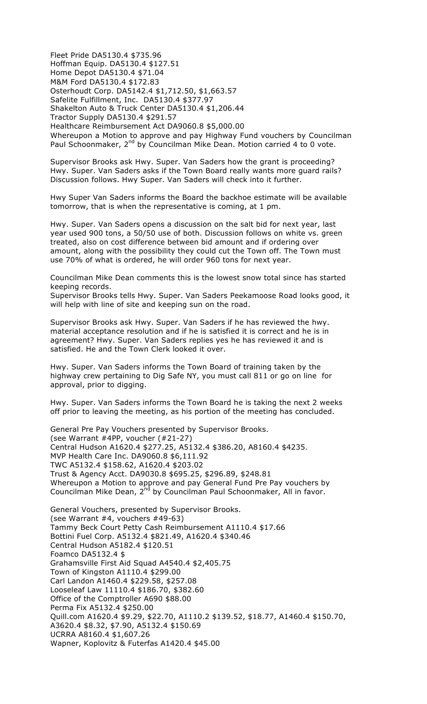Fleet Pride DA5130.4 \$735.96 Hoffman Equip. DA5130.4 \$127.51 Home Depot DA5130.4 \$71.04 M&M Ford DA5130.4 \$172.83 Osterhoudt Corp. DA5142.4 \$1,712.50, \$1,663.57 Safelite Fulfillment, Inc. DA5130.4 \$377.97 Shakelton Auto & Truck Center DA5130.4 \$1,206.44 Tractor Supply DA5130.4 \$291.57 Healthcare Reimbursement Act DA9060.8 \$5,000.00 Whereupon a Motion to approve and pay Highway Fund vouchers by Councilman Paul Schoonmaker, 2<sup>nd</sup> by Councilman Mike Dean. Motion carried 4 to 0 vote.

Supervisor Brooks ask Hwy. Super. Van Saders how the grant is proceeding? Hwy. Super. Van Saders asks if the Town Board really wants more guard rails? Discussion follows. Hwy Super. Van Saders will check into it further.

Hwy Super Van Saders informs the Board the backhoe estimate will be available tomorrow, that is when the representative is coming, at 1 pm.

Hwy. Super. Van Saders opens a discussion on the salt bid for next year, last year used 900 tons, a 50/50 use of both. Discussion follows on white vs. green treated, also on cost difference between bid amount and if ordering over amount, along with the possibility they could cut the Town off. The Town must use 70% of what is ordered, he will order 960 tons for next year.

Councilman Mike Dean comments this is the lowest snow total since has started keeping records.

Supervisor Brooks tells Hwy. Super. Van Saders Peekamoose Road looks good, it will help with line of site and keeping sun on the road.

Supervisor Brooks ask Hwy. Super. Van Saders if he has reviewed the hwy. material acceptance resolution and if he is satisfied it is correct and he is in agreement? Hwy. Super. Van Saders replies yes he has reviewed it and is satisfied. He and the Town Clerk looked it over.

Hwy. Super. Van Saders informs the Town Board of training taken by the highway crew pertaining to Dig Safe NY, you must call 811 or go on line for approval, prior to digging.

Hwy. Super. Van Saders informs the Town Board he is taking the next 2 weeks off prior to leaving the meeting, as his portion of the meeting has concluded.

General Pre Pay Vouchers presented by Supervisor Brooks. (see Warrant #4PP, voucher (#21-27) Central Hudson A1620.4 \$277.25, A5132.4 \$386.20, A8160.4 \$4235. MVP Health Care Inc. DA9060.8 \$6,111.92 TWC A5132.4 \$158.62, A1620.4 \$203.02 Trust & Agency Acct. DA9030.8 \$695.25, \$296.89, \$248.81 Whereupon a Motion to approve and pay General Fund Pre Pay vouchers by Councilman Mike Dean, 2<sup>nd</sup> by Councilman Paul Schoonmaker, All in favor.

General Vouchers, presented by Supervisor Brooks. (see Warrant #4, vouchers #49-63) Tammy Beck Court Petty Cash Reimbursement A1110.4 \$17.66 Bottini Fuel Corp. A5132.4 \$821.49, A1620.4 \$340.46 Central Hudson A5182.4 \$120.51 Foamco DA5132.4 \$ Grahamsville First Aid Squad A4540.4 \$2,405.75 Town of Kingston A1110.4 \$299.00 Carl Landon A1460.4 \$229.58, \$257.08 Looseleaf Law 11110.4 \$186.70, \$382.60 Office of the Comptroller A690 \$88.00 Perma Fix A5132.4 \$250.00 Quill.com A1620.4 \$9.29, \$22.70, A1110.2 \$139.52, \$18.77, A1460.4 \$150.70, A3620.4 \$8.32, \$7.90, A5132.4 \$150.69 UCRRA A8160.4 \$1,607.26 Wapner, Koplovitz & Futerfas A1420.4 \$45.00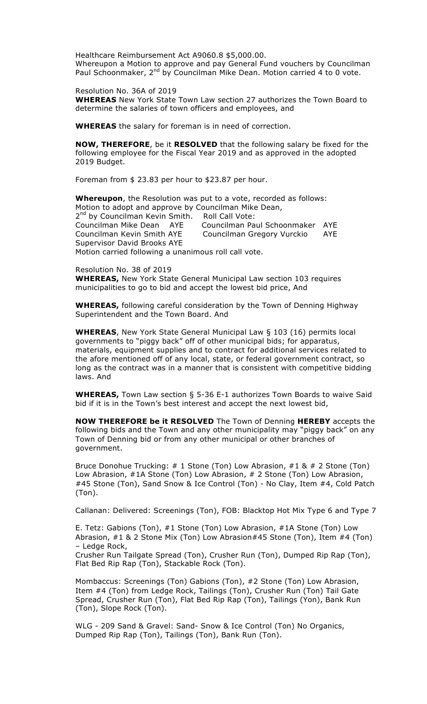Healthcare Reimbursement Act A9060.8 \$5,000.00. Whereupon a Motion to approve and pay General Fund vouchers by Councilman Paul Schoonmaker, 2<sup>nd</sup> by Councilman Mike Dean. Motion carried 4 to 0 vote.

Resolution No. 36A of 2019 **WHEREAS** New York State Town Law section 27 authorizes the Town Board to determine the salaries of town officers and employees, and

**WHEREAS** the salary for foreman is in need of correction.

**NOW, THEREFORE**, be it **RESOLVED** that the following salary be fixed for the following employee for the Fiscal Year 2019 and as approved in the adopted 2019 Budget.

Foreman from \$ 23.83 per hour to \$23.87 per hour.

**Whereupon**, the Resolution was put to a vote, recorded as follows: Motion to adopt and approve by Councilman Mike Dean, 2<sup>nd</sup> by Councilman Kevin Smith. Roll Call Vote:<br>Councilman Mike Dean AYE Councilman Pa Councilman Paul Schoonmaker AYE Councilman Kevin Smith AYE Councilman Gregory Vurckio AYE Supervisor David Brooks AYE Motion carried following a unanimous roll call vote.

Resolution No. 38 of 2019 **WHEREAS,** New York State General Municipal Law section 103 requires municipalities to go to bid and accept the lowest bid price, And

**WHEREAS,** following careful consideration by the Town of Denning Highway Superintendent and the Town Board. And

**WHEREAS**, New York State General Municipal Law § 103 (16) permits local governments to "piggy back" off of other municipal bids; for apparatus, materials, equipment supplies and to contract for additional services related to the afore mentioned off of any local, state, or federal government contract, so long as the contract was in a manner that is consistent with competitive bidding laws. And

**WHEREAS,** Town Law section § 5-36 E-1 authorizes Town Boards to waive Said bid if it is in the Town's best interest and accept the next lowest bid,

**NOW THEREFORE be it RESOLVED** The Town of Denning **HEREBY** accepts the following bids and the Town and any other municipality may "piggy back" on any Town of Denning bid or from any other municipal or other branches of government.

Bruce Donohue Trucking: # 1 Stone (Ton) Low Abrasion, #1 & # 2 Stone (Ton) Low Abrasion, #1A Stone (Ton) Low Abrasion, # 2 Stone (Ton) Low Abrasion, #45 Stone (Ton), Sand Snow & Ice Control (Ton) - No Clay, Item #4, Cold Patch (Ton).

Callanan: Delivered: Screenings (Ton), FOB: Blacktop Hot Mix Type 6 and Type 7

E. Tetz: Gabions (Ton), #1 Stone (Ton) Low Abrasion, #1A Stone (Ton) Low Abrasion, #1 & 2 Stone Mix (Ton) Low Abrasion#45 Stone (Ton), Item #4 (Ton) – Ledge Rock,

Crusher Run Tailgate Spread (Ton), Crusher Run (Ton), Dumped Rip Rap (Ton), Flat Bed Rip Rap (Ton), Stackable Rock (Ton).

Mombaccus: Screenings (Ton) Gabions (Ton), #2 Stone (Ton) Low Abrasion, Item #4 (Ton) from Ledge Rock, Tailings (Ton), Crusher Run (Ton) Tail Gate Spread, Crusher Run (Ton), Flat Bed Rip Rap (Ton), Tailings (Yon), Bank Run (Ton), Slope Rock (Ton).

WLG - 209 Sand & Gravel: Sand- Snow & Ice Control (Ton) No Organics, Dumped Rip Rap (Ton), Tailings (Ton), Bank Run (Ton).